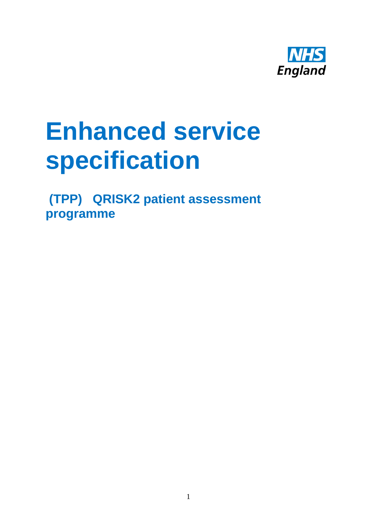

# **Enhanced service specification**

**(TPP) QRISK2 patient assessment programme**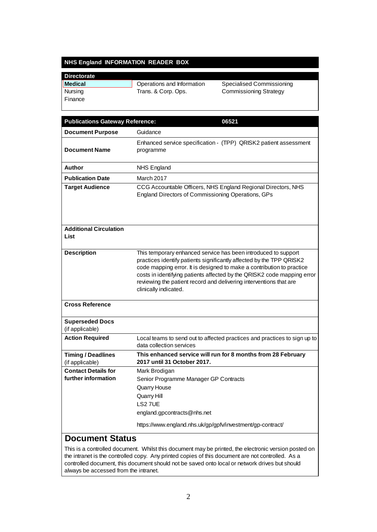## **NHS England INFORMATION READER BOX**

| <b>Directorate</b> |                            |                               |
|--------------------|----------------------------|-------------------------------|
| Medical            | Operations and Information | Specialised Commissioning     |
| Nursing            | Trans. & Corp. Ops.        | <b>Commissioning Strategy</b> |
| Finance            |                            |                               |
|                    |                            |                               |

| <b>Publications Gateway Reference:</b>    | 06521                                                                                                                                                                                                                                                                                                                                                                                     |  |
|-------------------------------------------|-------------------------------------------------------------------------------------------------------------------------------------------------------------------------------------------------------------------------------------------------------------------------------------------------------------------------------------------------------------------------------------------|--|
| <b>Document Purpose</b>                   | Guidance                                                                                                                                                                                                                                                                                                                                                                                  |  |
| <b>Document Name</b>                      | Enhanced service specification - (TPP) QRISK2 patient assessment<br>programme                                                                                                                                                                                                                                                                                                             |  |
| Author                                    | <b>NHS England</b>                                                                                                                                                                                                                                                                                                                                                                        |  |
| <b>Publication Date</b>                   | March 2017                                                                                                                                                                                                                                                                                                                                                                                |  |
| <b>Target Audience</b>                    | CCG Accountable Officers, NHS England Regional Directors, NHS<br>England Directors of Commissioning Operations, GPs                                                                                                                                                                                                                                                                       |  |
| <b>Additional Circulation</b><br>List     |                                                                                                                                                                                                                                                                                                                                                                                           |  |
| <b>Description</b>                        | This temporary enhanced service has been introduced to support<br>practices identify patients significantly affected by the TPP QRISK2<br>code mapping error. It is designed to make a contribution to practice<br>costs in identifying patients affected by the QRISK2 code mapping error<br>reviewing the patient record and delivering interventions that are<br>clinically indicated. |  |
| <b>Cross Reference</b>                    |                                                                                                                                                                                                                                                                                                                                                                                           |  |
| <b>Superseded Docs</b><br>(if applicable) |                                                                                                                                                                                                                                                                                                                                                                                           |  |
| <b>Action Required</b>                    | Local teams to send out to affected practices and practices to sign up to<br>data collection services                                                                                                                                                                                                                                                                                     |  |
| <b>Timing / Deadlines</b>                 | This enhanced service will run for 8 months from 28 February                                                                                                                                                                                                                                                                                                                              |  |
| (if applicable)                           | 2017 until 31 October 2017.                                                                                                                                                                                                                                                                                                                                                               |  |
| <b>Contact Details for</b>                | Mark Brodigan                                                                                                                                                                                                                                                                                                                                                                             |  |
| further information                       | Senior Programme Manager GP Contracts                                                                                                                                                                                                                                                                                                                                                     |  |
|                                           | Quarry House                                                                                                                                                                                                                                                                                                                                                                              |  |
|                                           | <b>Quarry Hill</b><br>LS27UE                                                                                                                                                                                                                                                                                                                                                              |  |
|                                           | england.gpcontracts@nhs.net                                                                                                                                                                                                                                                                                                                                                               |  |
|                                           | https://www.england.nhs.uk/gp/gpfv/investment/gp-contract/                                                                                                                                                                                                                                                                                                                                |  |
|                                           |                                                                                                                                                                                                                                                                                                                                                                                           |  |

#### **Document Status**

This is a controlled document. Whilst this document may be printed, the electronic version posted on the intranet is the controlled copy. Any printed copies of this document are not controlled. As a controlled document, this document should not be saved onto local or network drives but should always be accessed from the intranet.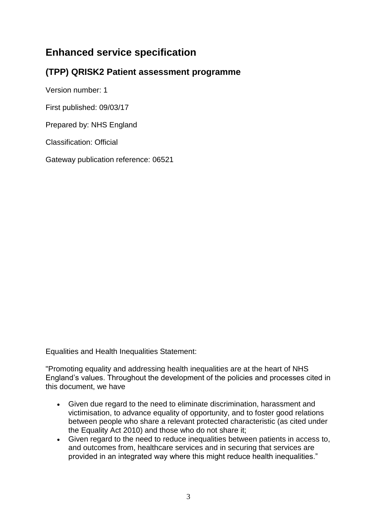## **Enhanced service specification**

## **(TPP) QRISK2 Patient assessment programme**

Version number: 1

First published: 09/03/17

Prepared by: NHS England

Classification: Official

Gateway publication reference: 06521

Equalities and Health Inequalities Statement:

"Promoting equality and addressing health inequalities are at the heart of NHS England's values. Throughout the development of the policies and processes cited in this document, we have

- Given due regard to the need to eliminate discrimination, harassment and victimisation, to advance equality of opportunity, and to foster good relations between people who share a relevant protected characteristic (as cited under the Equality Act 2010) and those who do not share it;
- Given regard to the need to reduce inequalities between patients in access to, and outcomes from, healthcare services and in securing that services are provided in an integrated way where this might reduce health inequalities."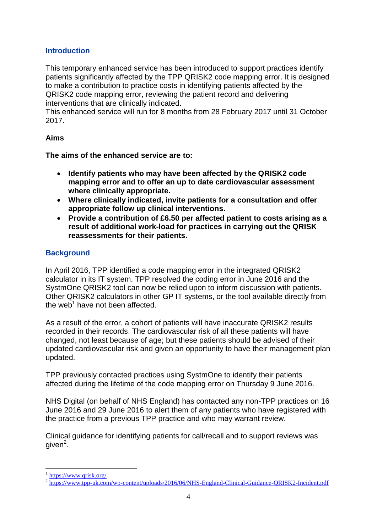## **Introduction**

This temporary enhanced service has been introduced to support practices identify patients significantly affected by the TPP QRISK2 code mapping error. It is designed to make a contribution to practice costs in identifying patients affected by the QRISK2 code mapping error, reviewing the patient record and delivering interventions that are clinically indicated.

This enhanced service will run for 8 months from 28 February 2017 until 31 October 2017.

## **Aims**

**The aims of the enhanced service are to:**

- **Identify patients who may have been affected by the QRISK2 code mapping error and to offer an up to date cardiovascular assessment where clinically appropriate.**
- **Where clinically indicated, invite patients for a consultation and offer appropriate follow up clinical interventions.**
- **Provide a contribution of £6.50 per affected patient to costs arising as a result of additional work-load for practices in carrying out the QRISK reassessments for their patients.**

## **Background**

In April 2016, TPP identified a code mapping error in the integrated QRISK2 calculator in its IT system. TPP resolved the coding error in June 2016 and the SystmOne QRISK2 tool can now be relied upon to inform discussion with patients. Other QRISK2 calculators in other GP IT systems, or the tool available directly from the web<sup>1</sup> have not been affected.

As a result of the error, a cohort of patients will have inaccurate QRISK2 results recorded in their records. The cardiovascular risk of all these patients will have changed, not least because of age; but these patients should be advised of their updated cardiovascular risk and given an opportunity to have their management plan updated.

TPP previously contacted practices using SystmOne to identify their patients affected during the lifetime of the code mapping error on Thursday 9 June 2016.

NHS Digital (on behalf of NHS England) has contacted any non-TPP practices on 16 June 2016 and 29 June 2016 to alert them of any patients who have registered with the practice from a previous TPP practice and who may warrant review.

Clinical guidance for identifying patients for call/recall and to support reviews was given<sup>2</sup>.

<u>.</u>

<sup>&</sup>lt;sup>1</sup> <https://www.qrisk.org/>

<sup>&</sup>lt;sup>2</sup> <https://www.tpp-uk.com/wp-content/uploads/2016/06/NHS-England-Clinical-Guidance-QRISK2-Incident.pdf>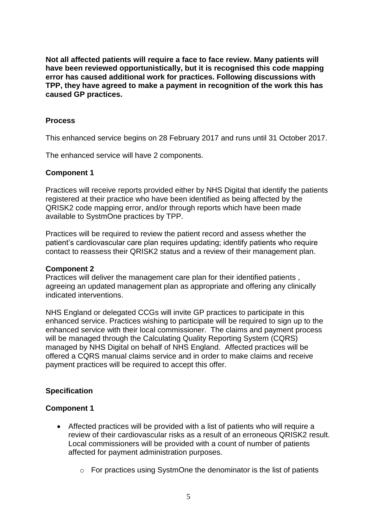**Not all affected patients will require a face to face review. Many patients will have been reviewed opportunistically, but it is recognised this code mapping error has caused additional work for practices. Following discussions with TPP, they have agreed to make a payment in recognition of the work this has caused GP practices.**

## **Process**

This enhanced service begins on 28 February 2017 and runs until 31 October 2017.

The enhanced service will have 2 components.

## **Component 1**

Practices will receive reports provided either by NHS Digital that identify the patients registered at their practice who have been identified as being affected by the QRISK2 code mapping error, and/or through reports which have been made available to SystmOne practices by TPP.

Practices will be required to review the patient record and assess whether the patient's cardiovascular care plan requires updating; identify patients who require contact to reassess their QRISK2 status and a review of their management plan.

## **Component 2**

Practices will deliver the management care plan for their identified patients , agreeing an updated management plan as appropriate and offering any clinically indicated interventions.

NHS England or delegated CCGs will invite GP practices to participate in this enhanced service. Practices wishing to participate will be required to sign up to the enhanced service with their local commissioner. The claims and payment process will be managed through the Calculating Quality Reporting System (CQRS) managed by NHS Digital on behalf of NHS England. Affected practices will be offered a CQRS manual claims service and in order to make claims and receive payment practices will be required to accept this offer.

## **Specification**

## **Component 1**

- Affected practices will be provided with a list of patients who will require a review of their cardiovascular risks as a result of an erroneous QRISK2 result. Local commissioners will be provided with a count of number of patients affected for payment administration purposes.
	- o For practices using SystmOne the denominator is the list of patients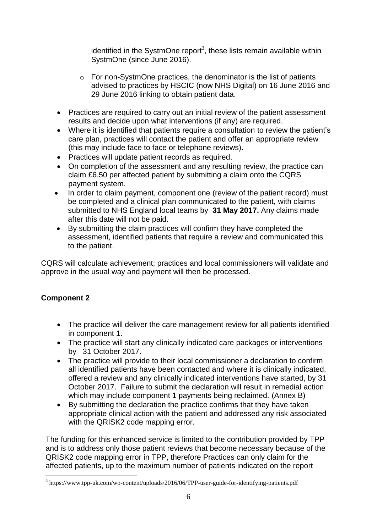identified in the SystmOne report<sup>3</sup>, these lists remain available within SystmOne (since June 2016).

- o For non-SystmOne practices, the denominator is the list of patients advised to practices by HSCIC (now NHS Digital) on 16 June 2016 and 29 June 2016 linking to obtain patient data.
- Practices are required to carry out an initial review of the patient assessment results and decide upon what interventions (if any) are required.
- Where it is identified that patients require a consultation to review the patient's care plan, practices will contact the patient and offer an appropriate review (this may include face to face or telephone reviews).
- Practices will update patient records as required.
- On completion of the assessment and any resulting review, the practice can claim £6.50 per affected patient by submitting a claim onto the CQRS payment system.
- In order to claim payment, component one (review of the patient record) must be completed and a clinical plan communicated to the patient, with claims submitted to NHS England local teams by **31 May 2017.** Any claims made after this date will not be paid.
- By submitting the claim practices will confirm they have completed the assessment, identified patients that require a review and communicated this to the patient.

CQRS will calculate achievement; practices and local commissioners will validate and approve in the usual way and payment will then be processed.

## **Component 2**

1

- The practice will deliver the care management review for all patients identified in component 1.
- The practice will start any clinically indicated care packages or interventions by 31 October 2017.
- The practice will provide to their local commissioner a declaration to confirm all identified patients have been contacted and where it is clinically indicated, offered a review and any clinically indicated interventions have started, by 31 October 2017. Failure to submit the declaration will result in remedial action which may include component 1 payments being reclaimed. (Annex B)
- By submitting the declaration the practice confirms that they have taken appropriate clinical action with the patient and addressed any risk associated with the QRISK2 code mapping error.

The funding for this enhanced service is limited to the contribution provided by TPP and is to address only those patient reviews that become necessary because of the QRISK2 code mapping error in TPP, therefore Practices can only claim for the affected patients, up to the maximum number of patients indicated on the report

<sup>&</sup>lt;sup>3</sup> https://www.tpp-uk.com/wp-content/uploads/2016/06/TPP-user-guide-for-identifying-patients.pdf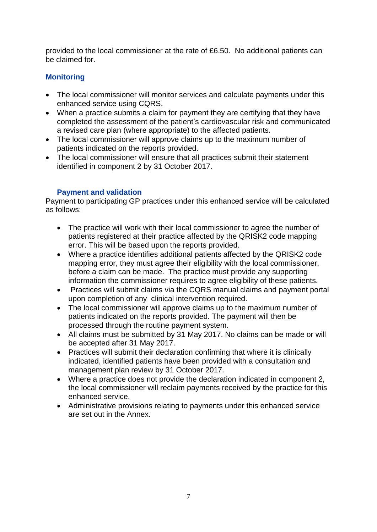provided to the local commissioner at the rate of £6.50. No additional patients can be claimed for.

## **Monitoring**

- The local commissioner will monitor services and calculate payments under this enhanced service using CQRS.
- When a practice submits a claim for payment they are certifying that they have completed the assessment of the patient's cardiovascular risk and communicated a revised care plan (where appropriate) to the affected patients.
- The local commissioner will approve claims up to the maximum number of patients indicated on the reports provided.
- The local commissioner will ensure that all practices submit their statement identified in component 2 by 31 October 2017.

## **Payment and validation**

Payment to participating GP practices under this enhanced service will be calculated as follows:

- The practice will work with their local commissioner to agree the number of patients registered at their practice affected by the QRISK2 code mapping error. This will be based upon the reports provided.
- Where a practice identifies additional patients affected by the QRISK2 code mapping error, they must agree their eligibility with the local commissioner, before a claim can be made. The practice must provide any supporting information the commissioner requires to agree eligibility of these patients.
- Practices will submit claims via the CQRS manual claims and payment portal upon completion of any clinical intervention required.
- The local commissioner will approve claims up to the maximum number of patients indicated on the reports provided. The payment will then be processed through the routine payment system.
- All claims must be submitted by 31 May 2017. No claims can be made or will be accepted after 31 May 2017.
- Practices will submit their declaration confirming that where it is clinically indicated, identified patients have been provided with a consultation and management plan review by 31 October 2017.
- Where a practice does not provide the declaration indicated in component 2, the local commissioner will reclaim payments received by the practice for this enhanced service.
- Administrative provisions relating to payments under this enhanced service are set out in the Annex.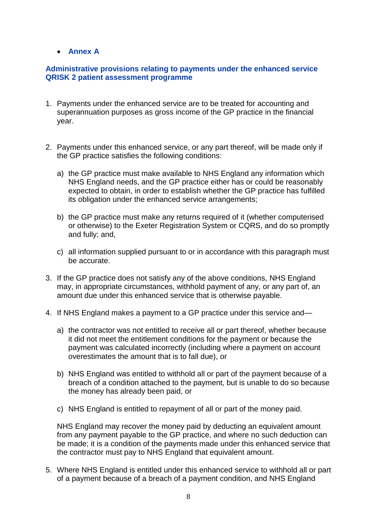## **Annex A**

## **Administrative provisions relating to payments under the enhanced service QRISK 2 patient assessment programme**

- 1. Payments under the enhanced service are to be treated for accounting and superannuation purposes as gross income of the GP practice in the financial year.
- 2. Payments under this enhanced service, or any part thereof, will be made only if the GP practice satisfies the following conditions:
	- a) the GP practice must make available to NHS England any information which NHS England needs, and the GP practice either has or could be reasonably expected to obtain, in order to establish whether the GP practice has fulfilled its obligation under the enhanced service arrangements;
	- b) the GP practice must make any returns required of it (whether computerised or otherwise) to the Exeter Registration System or CQRS, and do so promptly and fully; and,
	- c) all information supplied pursuant to or in accordance with this paragraph must be accurate.
- 3. If the GP practice does not satisfy any of the above conditions, NHS England may, in appropriate circumstances, withhold payment of any, or any part of, an amount due under this enhanced service that is otherwise payable.
- 4. If NHS England makes a payment to a GP practice under this service and
	- a) the contractor was not entitled to receive all or part thereof, whether because it did not meet the entitlement conditions for the payment or because the payment was calculated incorrectly (including where a payment on account overestimates the amount that is to fall due), or
	- b) NHS England was entitled to withhold all or part of the payment because of a breach of a condition attached to the payment, but is unable to do so because the money has already been paid, or
	- c) NHS England is entitled to repayment of all or part of the money paid.

NHS England may recover the money paid by deducting an equivalent amount from any payment payable to the GP practice, and where no such deduction can be made; it is a condition of the payments made under this enhanced service that the contractor must pay to NHS England that equivalent amount.

5. Where NHS England is entitled under this enhanced service to withhold all or part of a payment because of a breach of a payment condition, and NHS England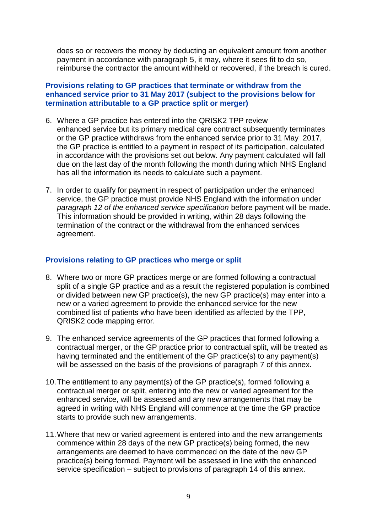does so or recovers the money by deducting an equivalent amount from another payment in accordance with paragraph 5, it may, where it sees fit to do so, reimburse the contractor the amount withheld or recovered, if the breach is cured.

## **Provisions relating to GP practices that terminate or withdraw from the enhanced service prior to 31 May 2017 (subject to the provisions below for termination attributable to a GP practice split or merger)**

- 6. Where a GP practice has entered into the QRISK2 TPP review enhanced service but its primary medical care contract subsequently terminates or the GP practice withdraws from the enhanced service prior to 31 May 2017, the GP practice is entitled to a payment in respect of its participation, calculated in accordance with the provisions set out below. Any payment calculated will fall due on the last day of the month following the month during which NHS England has all the information its needs to calculate such a payment.
- 7. In order to qualify for payment in respect of participation under the enhanced service, the GP practice must provide NHS England with the information under *paragraph 12 of the enhanced service specification* before payment will be made. This information should be provided in writing, within 28 days following the termination of the contract or the withdrawal from the enhanced services agreement.

### **Provisions relating to GP practices who merge or split**

- 8. Where two or more GP practices merge or are formed following a contractual split of a single GP practice and as a result the registered population is combined or divided between new GP practice(s), the new GP practice(s) may enter into a new or a varied agreement to provide the enhanced service for the new combined list of patients who have been identified as affected by the TPP, QRISK2 code mapping error.
- 9. The enhanced service agreements of the GP practices that formed following a contractual merger, or the GP practice prior to contractual split, will be treated as having terminated and the entitlement of the GP practice(s) to any payment(s) will be assessed on the basis of the provisions of paragraph 7 of this annex.
- 10.The entitlement to any payment(s) of the GP practice(s), formed following a contractual merger or split, entering into the new or varied agreement for the enhanced service, will be assessed and any new arrangements that may be agreed in writing with NHS England will commence at the time the GP practice starts to provide such new arrangements.
- 11.Where that new or varied agreement is entered into and the new arrangements commence within 28 days of the new GP practice(s) being formed, the new arrangements are deemed to have commenced on the date of the new GP practice(s) being formed. Payment will be assessed in line with the enhanced service specification – subject to provisions of paragraph 14 of this annex.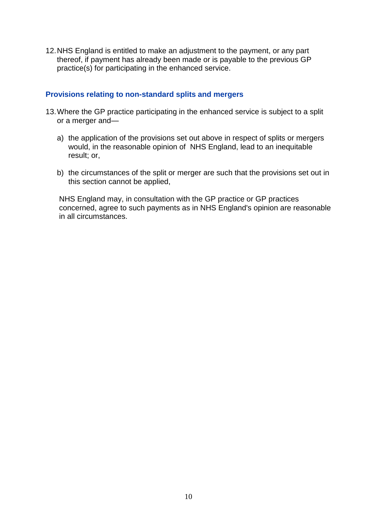12.NHS England is entitled to make an adjustment to the payment, or any part thereof, if payment has already been made or is payable to the previous GP practice(s) for participating in the enhanced service.

#### **Provisions relating to non-standard splits and mergers**

- 13.Where the GP practice participating in the enhanced service is subject to a split or a merger and
	- a) the application of the provisions set out above in respect of splits or mergers would, in the reasonable opinion of NHS England, lead to an inequitable result; or,
	- b) the circumstances of the split or merger are such that the provisions set out in this section cannot be applied,

NHS England may, in consultation with the GP practice or GP practices concerned, agree to such payments as in NHS England's opinion are reasonable in all circumstances.